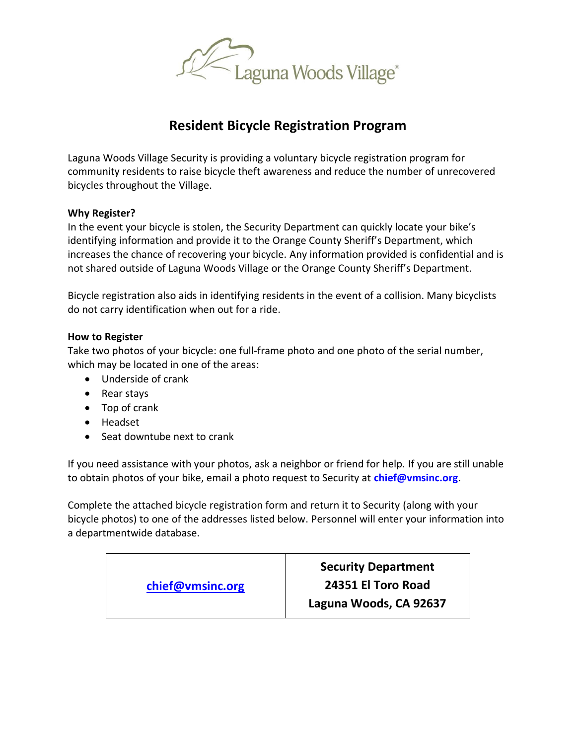

## **Resident Bicycle Registration Program**

Laguna Woods Village Security is providing a voluntary bicycle registration program for community residents to raise bicycle theft awareness and reduce the number of unrecovered bicycles throughout the Village.

### **Why Register?**

In the event your bicycle is stolen, the Security Department can quickly locate your bike's identifying information and provide it to the Orange County Sheriff's Department, which increases the chance of recovering your bicycle. Any information provided is confidential and is not shared outside of Laguna Woods Village or the Orange County Sheriff's Department.

Bicycle registration also aids in identifying residents in the event of a collision. Many bicyclists do not carry identification when out for a ride.

### **How to Register**

Take two photos of your bicycle: one full-frame photo and one photo of the serial number, which may be located in one of the areas:

- Underside of crank
- Rear stays
- Top of crank
- Headset
- Seat downtube next to crank

If you need assistance with your photos, ask a neighbor or friend for help. If you are still unable to obtain photos of your bike, email a photo request to Security at **[chief@vmsinc.org](mailto:Chief@VMSINC.Org)**.

Complete the attached bicycle registration form and return it to Security (along with your bicycle photos) to one of the addresses listed below. Personnel will enter your information into a departmentwide database.

| chief@vmsinc.org | <b>Security Department</b><br>24351 El Toro Road<br>Laguna Woods, CA 92637 |
|------------------|----------------------------------------------------------------------------|
|                  |                                                                            |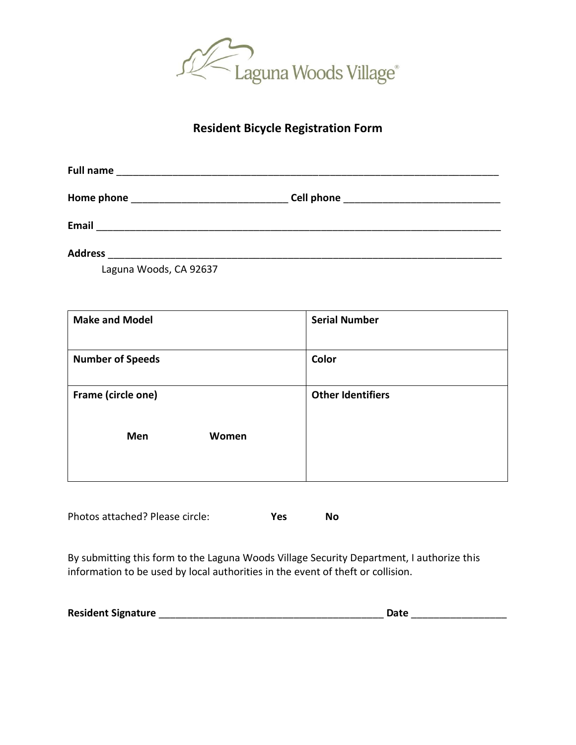

### **Resident Bicycle Registration Form**

| <b>Full name</b> |            |  |
|------------------|------------|--|
| Home phone       | Cell phone |  |
| <b>Email</b>     |            |  |
| <b>Address</b>   |            |  |

Laguna Woods, CA 92637

| <b>Make and Model</b>   |       | <b>Serial Number</b>     |
|-------------------------|-------|--------------------------|
| <b>Number of Speeds</b> |       | Color                    |
| Frame (circle one)      |       | <b>Other Identifiers</b> |
| Men                     | Women |                          |

Photos attached? Please circle: **Yes No**

By submitting this form to the Laguna Woods Village Security Department, I authorize this information to be used by local authorities in the event of theft or collision.

| <b>Resident Signature</b> | Date |
|---------------------------|------|
|---------------------------|------|